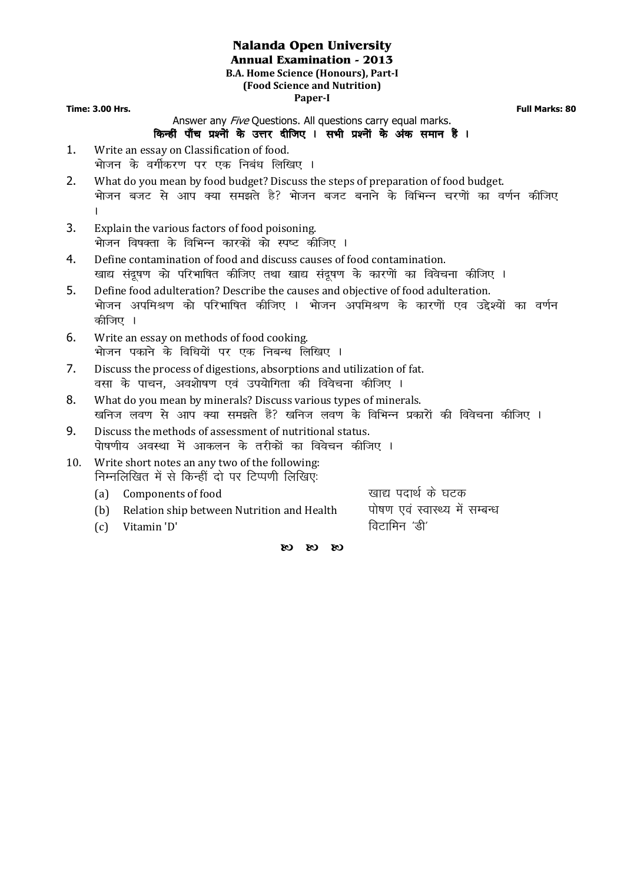## **Nalanda Open University**

**Annual Examination - 2013** 

**B.A. Home Science (Honours), Part-I (Food Science and Nutrition) Paper-I** 

**Time: 3.00 Hrs. Full Marks: 80**

## Answer any *Five* Ouestions. All questions carry equal marks.

- किन्हीं पाँच प्रश्नों के उत्तर दीजिए । सभी प्रश्नों के अंक समान हैं ।
- 1. Write an essay on Classification of food. भोजन के वर्गीकरण पर एक निबंध लिखिए ।
- 2. What do you mean by food budget? Discuss the steps of preparation of food budget. भोजन बजट से आप क्या समझते है? भोजन बजट बनाने के विभिन्न चरणों का वर्णन कीजिए  $\mathbf{L}$
- 3. Explain the various factors of food poisoning. .<br>भोजन विषक्ता के विभिन्न कारकों को स्पष्ट कीजिए ।
- 4. Define contamination of food and discuss causes of food contamination. खाद्य संदूषण को परिभाषित कीजिए तथा खाद्य संदूषण के कारणों का विवेचना कीजिए ।
- 5. Define food adulteration? Describe the causes and objective of food adulteration. .<br>भोजन अपमिश्रण को परिभाषित कीजिए । भोजन अपमिश्रण के कारणों एव उद्देश्यों का वर्णन कीजिए ।
- 6. Write an essay on methods of food cooking. भोजन पकाने के विधियों पर एक निबन्ध लिखिए ।
- 7. Discuss the process of digestions, absorptions and utilization of fat. वसा के पाचन, अवशोषण एवं उपयोगिता की विवेचना कीजिए ।
- 8. What do you mean by minerals? Discuss various types of minerals. खनिज लवण से आप क्या समझते हैं? खनिज लवण के विभिन्न प्रकारों की विवेचना कीजिए ।
- 9. Discuss the methods of assessment of nutritional status. पोषणीय अवस्था में आकलन के तरीकों का विवेचन कीजिए ।
- 10. Write short notes an any two of the following: निम्नलिखित में से किन्हीं दो पर टिप्पणी लिखिए.

(a) Components of food in the settle of the components of food (b) Relation ship between Nutrition and Health वोषण एवं स्वास्थ्य में सम्बन्ध

(c) Vitamin 'D' ਵਿਧਾਇਤ ਦਾ ਸ਼ਹਿਰ ਹੋ ਕਿਹਾ ਜਿਸ ਵਿੱਚੋਂ ਬਾਅਦ ਸ਼ਹਿਰ ਹੋ ਪਾ

 $\alpha$   $\alpha$   $\alpha$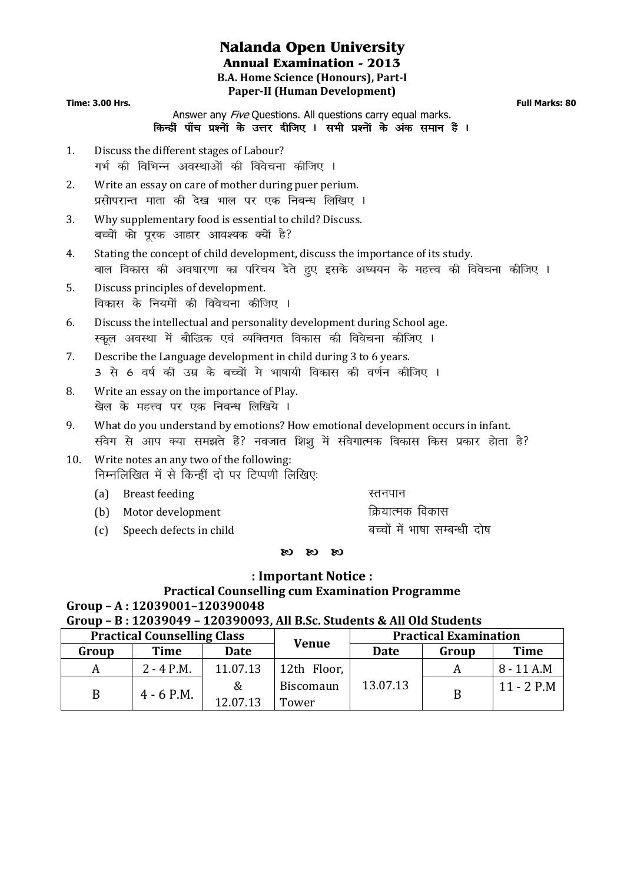## **Nalanda Open University Annual Examination - 2013 B.A. Home Science (Honours), Part-I Paper-II (Human Development)**

**Time: 3.00 Hrs. Full Marks: 80**

Answer any *Five* Questions. All questions carry equal marks. किन्हीं पाँच प्रश्नों के उत्तर दीजिए । सभी प्रश्नों के अंक समान हैं ।

- 1. Discuss the different stages of Labour? गर्भ की विभिन्न अवस्थाओं की विवेचना कीजिए ।
- 2. Write an essay on care of mother during puer perium. प्रसोपरान्त माता की देख भाल पर एक निबन्ध लिखिए ।
- 3. Why supplementary food is essential to child? Discuss. बच्चों को पूरक आहार आवश्यक क्यों है?
- 4. Stating the concept of child development, discuss the importance of its study. बाल विकास की अवधारणा का परिचय देते हुए इसके अध्ययन के महत्त्व की विवेचना कीजिए ।
- 5. Discuss principles of development. विकास के नियमों की विवेचना कीजिए ।
- 6. Discuss the intellectual and personality development during School age. स्कूल अवस्था में बौद्धिक एवं व्यक्तिगत विकास की विवेचना कीजिए ।
- 7. Describe the Language development in child during 3 to 6 years. 3 से 6 वर्ष की उम्र के बच्चों मे भाषायी विकास की वर्णन कीजिए ।
- 8. Write an essay on the importance of Play. खेल के महत्त्व पर एक निबन्ध लिखिये ।
- 9. What do you understand by emotions? How emotional development occurs in infant. संवेग से आप क्या समझते हैं? नवजात शिश में संवेगात्मक विकास किस प्रकार होता है?
- 10. Write notes an any two of the following: निम्नलिखित में से किन्हीं दो पर टिप्पणी लिखिए:
	- (a) Breast feeding and a set of the set of the Breast feeding
	- (b) Motor development for the food for the food for the food for the food for the following for the following  $\beta$
	- (c) Speech defects in child state of the state of the speech defects in child
		- $\alpha$   $\alpha$   $\alpha$

## **: Important Notice :**

## **Practical Counselling cum Examination Programme Group – A : 12039001–120390048**

**Group – B : 12039049 – 120390093, All B.Sc. Students & All Old Students** 

| <b>Practical Counselling Class</b> |              |          | <b>Venue</b> | <b>Practical Examination</b> |       |              |
|------------------------------------|--------------|----------|--------------|------------------------------|-------|--------------|
| Group                              | <b>Time</b>  | Date     |              | Date                         | Group | <b>Time</b>  |
|                                    | $2 - 4$ P.M. | 11.07.13 | 12th Floor,  |                              |       | 8 - 11 A.M   |
|                                    | $4 - 6$ P.M. | &        | Biscomaun    | 13.07.13                     |       | $11 - 2$ P.M |
|                                    |              | 12.07.13 | Tower        |                              |       |              |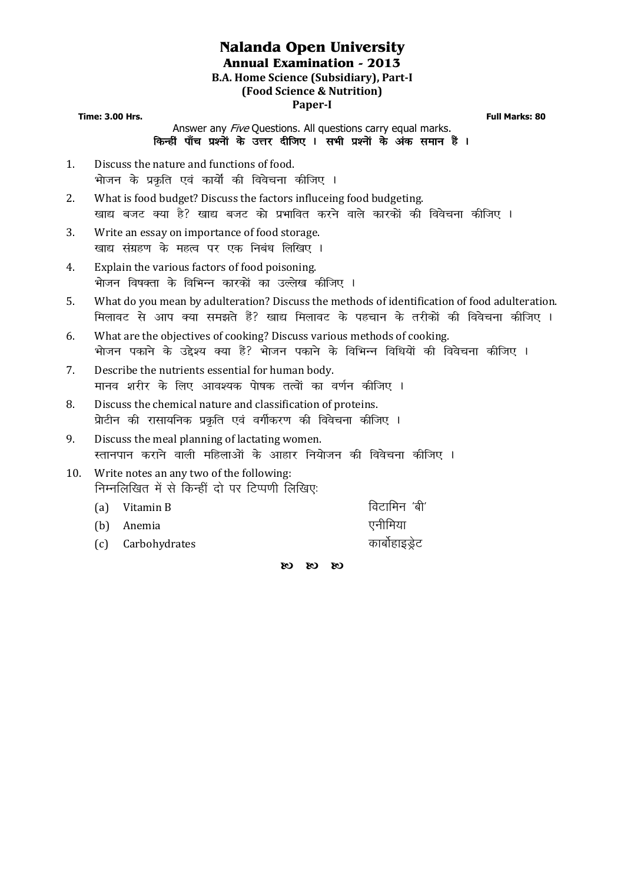# **Nalanda Open University**

**Annual Examination - 2013** 

**B.A. Home Science (Subsidiary), Part-I** 

## **(Food Science & Nutrition)**

## **Paper-I**

**Time: 3.00 Hrs. Full Marks: 80**

Answer any *Five* Questions. All questions carry equal marks. किन्हीं पाँच प्रश्नों के उत्तर दीजिए । सभी प्रश्नों के अंक समान हैं ।

- 1. Discuss the nature and functions of food. भोजन के प्रकति एवं कार्यों की विवेचना कीजिए ।
- 2. What is food budget? Discuss the factors influceing food budgeting. .<br>खाद्य बजट क्या है? खाद्य बजट को प्रभावित करने वाले कारकों की विवेचना कीजिए ।
- 3. Write an essay on importance of food storage. खाद्य संग्रहण के महत्व पर एक निबंध लिखिए ।
- 4. Explain the various factors of food poisoning. भोजन विषक्ता के विभिन्न कारकों का उल्लेख कीजिए ।
- 5. What do you mean by adulteration? Discuss the methods of identification of food adulteration. <u>मिलावट से आप क्या समझते हैं? खाद्य मिलावट के पहचान के तरीकों की विवेचना कीजिए ।</u>
- 6. What are the objectives of cooking? Discuss various methods of cooking. भोजन पकाने के उद्देश्य क्या हैं? भोजन पकाने के विभिन्न विधियों की विवेचना कीजिए ।
- 7. Describe the nutrients essential for human body. मानव शरीर के लिए आवश्यक पोषक तत्वों का वर्णन कीजिए ।
- 8. Discuss the chemical nature and classification of proteins. प्रोटीन की रासायनिक प्रकृति एवं वर्गीकरण की विवेचना कीजिए ।
- 9. Discuss the meal planning of lactating women. स्तानपान कराने वाली महिलाओं के आहार नियोजन की विवेचना कीजिए ।
- 10. Write notes an any two of the following: निम्नलिखित में से किन्हीं दो पर टिप्पणी लिखिए:
	- (a) Vitamin B for the set of the fourth of the fourth of the fourth of the fourth of the fourth of the fourth o (b) Anemia , which is a set of the set of the set of the set of the set of the set of the set of the set of th (c) Carbohydrates and the control of the carbohydrates

 $O(3 \times 10^5)$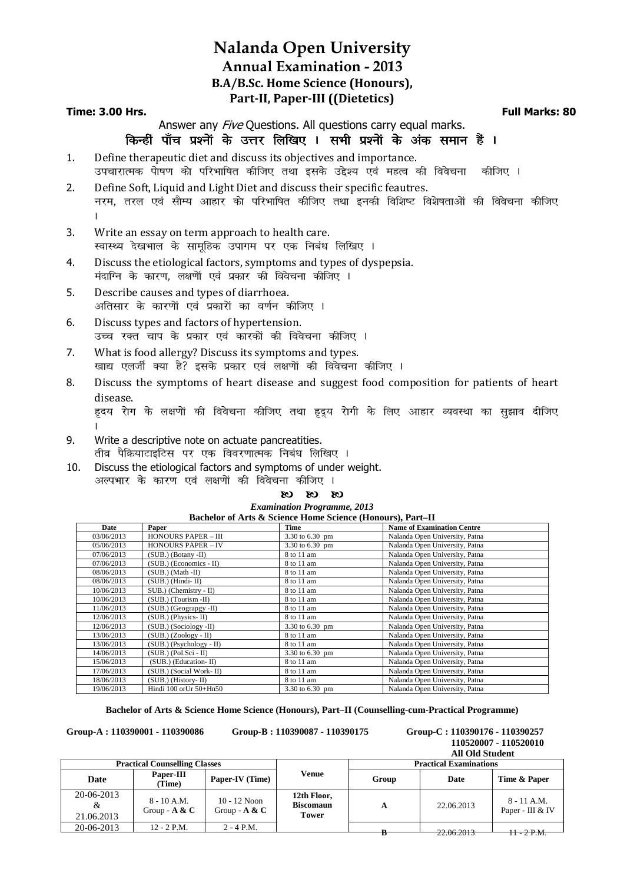## **Nalanda Open University Annual Examination - 2013 B.A/B.Sc. Home Science (Honours), Part-II, Paper-III ((Dietetics)**

#### **Time: 3.00 Hrs. Full Marks: 80**

Answer any *Five* Ouestions. All questions carry equal marks.

#### किन्हीं पाँच प्रश्नों के उत्तर लिखिए । सभी प्रश्नों के अंक समान हैं ।

- 1. Define therapeutic diet and discuss its objectives and importance. उपचारात्मक पेाषण को परिभाषित कीजिए तथा इसके उद्देश्य एवं महत्व की विवेचना कीजिए ।
- 2. Define Soft, Liquid and Light Diet and discuss their specific feautres. नरम, तरल एवं सौम्य आहार को परिभाषित कीजिए तथा इनकी विशिष्ट विशेषताओं की विवेचना कीजिए A
- 3. Write an essay on term approach to health care. रवास्थ्य देखभाल के सामूहिक उपागम पर एक निबंध लिखिए ।
- 4. Discuss the etiological factors, symptoms and types of dyspepsia. मंदाग्नि के कारण, लक्षणें एवं प्रकार की विवेचना कीजिए ।
- 5. Describe causes and types of diarrhoea. अतिसार के कारणों एवं प्रकारों का वर्णन कीजिए ।
- 6. Discuss types and factors of hypertension. उच्च रक्त चाप के प्रकार एवं कारकों की विवेचना कीजिए ।
- 7. What is food allergy? Discuss its symptoms and types. खाद्य एलर्जी क्या है? इसके प्रकार एवं लक्षणों की विवेचना कीजिए ।
- 8. Discuss the symptoms of heart disease and suggest food composition for patients of heart disease. हदय रोग के लक्षणों की विवेचना कीजिए तथा हदय रोगी के लिए आहार व्यवस्था का सझाव दीजिए
- $\mathbf{L}$ 9. Write a descriptive note on actuate pancreatities. तीव्र पैक्रियाटाइटिस पर एक विवरणात्मक निबंध लिखिए ।
- 10. Discuss the etiological factors and symptoms of under weight. अल्पभार के कारण एवं लक्षणों की विवेचना कीजिए ।

#### $O(3 \times 10^{-10})$

#### *Examination Programme, 2013* **Bachelor of Arts & Science Home Science (Honours), Part–II**

| Bachelor of Arts & Science Home Science (Honours), Fart-H |                             |                 |                                   |  |  |  |
|-----------------------------------------------------------|-----------------------------|-----------------|-----------------------------------|--|--|--|
| Date                                                      | Paper                       | Time            | <b>Name of Examination Centre</b> |  |  |  |
| 03/06/2013                                                | <b>HONOURS PAPER - III</b>  | 3.30 to 6.30 pm | Nalanda Open University, Patna    |  |  |  |
| 05/06/2013                                                | <b>HONOURS PAPER - IV</b>   | 3.30 to 6.30 pm | Nalanda Open University, Patna    |  |  |  |
| 07/06/2013                                                | $(SUB.)$ (Botany -II)       | 8 to 11 am      | Nalanda Open University, Patna    |  |  |  |
| 07/06/2013                                                | (SUB.) (Economics - II)     | 8 to 11 am      | Nalanda Open University, Patna    |  |  |  |
| 08/06/2013                                                | $(SUB.)$ (Math -II)         | 8 to 11 am      | Nalanda Open University, Patna    |  |  |  |
| 08/06/2013                                                | $(SUB.)$ (Hindi-II)         | 8 to 11 am      | Nalanda Open University, Patna    |  |  |  |
| 10/06/2013                                                | $SUB.)$ (Chemistry - $II$ ) | 8 to 11 am      | Nalanda Open University, Patna    |  |  |  |
| 10/06/2013                                                | $(SUB.)$ (Tourism -II)      | 8 to 11 am      | Nalanda Open University, Patna    |  |  |  |
| 11/06/2013                                                | (SUB.) (Geograpgy -II)      | 8 to 11 am      | Nalanda Open University, Patna    |  |  |  |
| 12/06/2013                                                | $(SUB.)$ (Physics-II)       | 8 to 11 am      | Nalanda Open University, Patna    |  |  |  |
| 12/06/2013                                                | $(SUB.)$ (Sociology -II)    | 3.30 to 6.30 pm | Nalanda Open University, Patna    |  |  |  |
| 13/06/2013                                                | $(SUB.) (Zoology - II)$     | 8 to 11 am      | Nalanda Open University, Patna    |  |  |  |
| 13/06/2013                                                | $(SUB.)$ (Psychology - II)  | 8 to 11 am      | Nalanda Open University, Patna    |  |  |  |
| 14/06/2013                                                | $(SUB.) (Pol.Sci - II)$     | 3.30 to 6.30 pm | Nalanda Open University, Patna    |  |  |  |
| 15/06/2013                                                | (SUB.) (Education-II)       | 8 to 11 am      | Nalanda Open University, Patna    |  |  |  |
| 17/06/2013                                                | (SUB.) (Social Work-II)     | 8 to 11 am      | Nalanda Open University, Patna    |  |  |  |
| 18/06/2013                                                | $(SUB.)$ (History-II)       | 8 to 11 am      | Nalanda Open University, Patna    |  |  |  |
| 19/06/2013                                                | Hindi 100 orUr 50+Hn50      | 3.30 to 6.30 pm | Nalanda Open University, Patna    |  |  |  |

**Bachelor of Arts & Science Home Science (Honours), Part–II (Counselling-cum-Practical Programme)** 

**Group-A : 110390001 - 110390086 Group-B : 110390087 - 110390175 Group-C : 110390176 - 110390257** 

 **110520007 - 110520010** 

|                                      |                                  |                                   |                                                 |                               | <b>All Old Student</b> |                                   |
|--------------------------------------|----------------------------------|-----------------------------------|-------------------------------------------------|-------------------------------|------------------------|-----------------------------------|
| <b>Practical Counselling Classes</b> |                                  |                                   |                                                 | <b>Practical Examinations</b> |                        |                                   |
| <b>Date</b>                          | Paper-III<br>(Time)              | Paper-IV (Time)                   | Venue                                           | Group                         | Date                   | Time & Paper                      |
| 20-06-2013<br>&<br>21.06.2013        | $8 - 10$ A.M.<br>Group - $A & C$ | $10 - 12$ Noon<br>Group - $A & C$ | 12th Floor,<br><b>Biscomaun</b><br><b>Tower</b> | A                             | 22.06.2013             | $8 - 11$ A.M.<br>Paper - III & IV |
| 20-06-2013                           | $12 - 2$ P.M.                    | $2 - 4$ P.M.                      |                                                 |                               | 22.00012               | $H - 2 P.M.$                      |
|                                      |                                  |                                   |                                                 |                               | 22.00.2013             |                                   |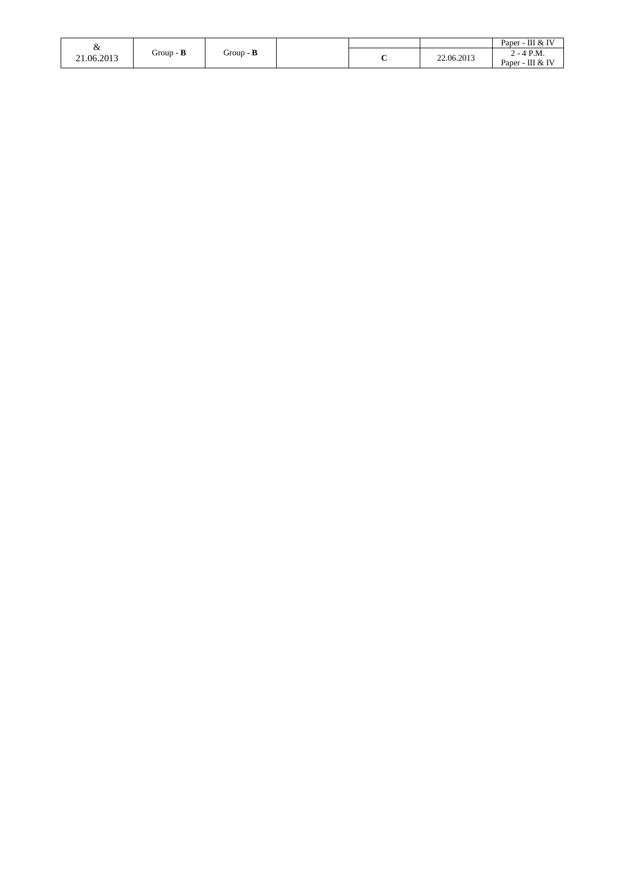|                 |                  |                  |        |            | Paper - III & IV                 |
|-----------------|------------------|------------------|--------|------------|----------------------------------|
| x<br>21.06.2013 | Group - $\bf{B}$ | Group - <b>B</b> | $\sim$ | 22.06.2013 | $2 - 4$ P.M.<br>Paper - III & IV |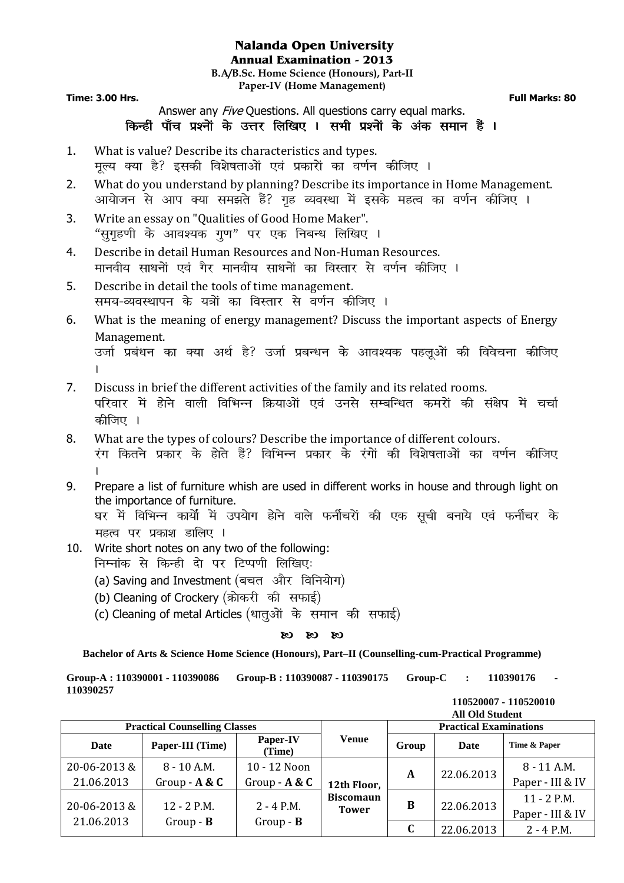## **Nalanda Open University Annual Examination - 2013**

**B.A/B.Sc. Home Science (Honours), Part-II Paper-IV (Home Management)** 

**Time: 3.00 Hrs.** Full Marks: 80

Answer any *Five* Ouestions. All questions carry equal marks. किन्हीं पाँच प्रश्नों के उत्तर लिखिए । सभी प्रश्नों के अंक समान हैं ।

- 1. What is value? Describe its characteristics and types. मूल्य क्या है? इसकी विशेषताओं एवं प्रकारों का वर्णन कीजिए ।
- 2. What do you understand by planning? Describe its importance in Home Management. आयोजन से आप क्या समझते हैं? गृह व्यवस्था में इसके महत्व का वर्णन कीजिए ।
- 3. Write an essay on "Qualities of Good Home Maker". "सुगृहणी के आवश्यक गुण" पर एक निबन्ध लिखिए ।
- 4. Describe in detail Human Resources and Non-Human Resources. मानवीय साधनों एवं गैर मानवीय साधनों का विस्तार से वर्णन कीजिए ।
- 5. Describe in detail the tools of time management. समय-व्यवस्थापन के यत्रों का विस्तार से वर्णन कीजिए ।
- 6. What is the meaning of energy management? Discuss the important aspects of Energy Management. उर्जा प्रबंधन का क्या अर्थ है? उर्जा प्रबन्धन के आवश्यक पहलुओं की विवेचना कीजिए

 $\mathbf{L}$ 

- 7. Discuss in brief the different activities of the family and its related rooms. परिवार में होने वाली विभिन्न क्रियाओं एवं उनसे सम्बन्धित कमरों की संक्षेप में चर्चा कीजिए ।
- 8. What are the types of colours? Describe the importance of different colours. रंग कितने प्रकार के होते हैं? विभिन्न प्रकार के रंगों की विशेषताओं का वर्णन कीजिए  $\mathbf{L}$
- 9. Prepare a list of furniture whish are used in different works in house and through light on the importance of furniture.

घर में विभिन्न कार्यों में उपयोग होने वाले फर्नीचरों की एक सूची बनाये एवं फर्नीचर के महत्व पर प्रकाश डालिए ।

- 10. Write short notes on any two of the following: निम्नांक से किन्ही दो पर टिप्पणी लिखिए:
	- (a) Saving and Investment (बचत और विनियोग)
	- (b) Cleaning of Crockery (क्रोकरी की सफाई)
	- (c) Cleaning of metal Articles (धातुओं के समान की सफाई)

## $\alpha$   $\alpha$   $\alpha$

**Bachelor of Arts & Science Home Science (Honours), Part–II (Counselling-cum-Practical Programme)** 

**Group-A : 110390001 - 110390086 Group-B : 110390087 - 110390175 Group-C : 110390176 - 110390257** 

| <b>Practical Counselling Classes</b> |                                  |                                 |                                  | <b>Practical Examinations</b> |            |                                   |  |
|--------------------------------------|----------------------------------|---------------------------------|----------------------------------|-------------------------------|------------|-----------------------------------|--|
| Date                                 | Paper-III (Time)                 | Paper-IV<br>(Time)              | <b>Venue</b>                     | Group                         | Date       | Time & Paper                      |  |
| 20-06-2013&<br>21.06.2013            | $8 - 10$ A.M.<br>Group - $A & C$ | 10 - 12 Noon<br>Group - $A & C$ | 12th Floor,                      | A                             | 22.06.2013 | $8 - 11$ A.M.<br>Paper - III & IV |  |
| 20-06-2013&                          | $12 - 2$ P.M.                    | $2 - 4$ P.M.                    | <b>Biscomaun</b><br><b>Tower</b> | B                             | 22.06.2013 | $11 - 2$ P.M.<br>Paper - III & IV |  |
| 21.06.2013                           | $Group - B$                      | $Group - B$                     |                                  |                               | 22.06.2013 | $2 - 4$ P.M.                      |  |

 **110520007 - 110520010 All Old Student**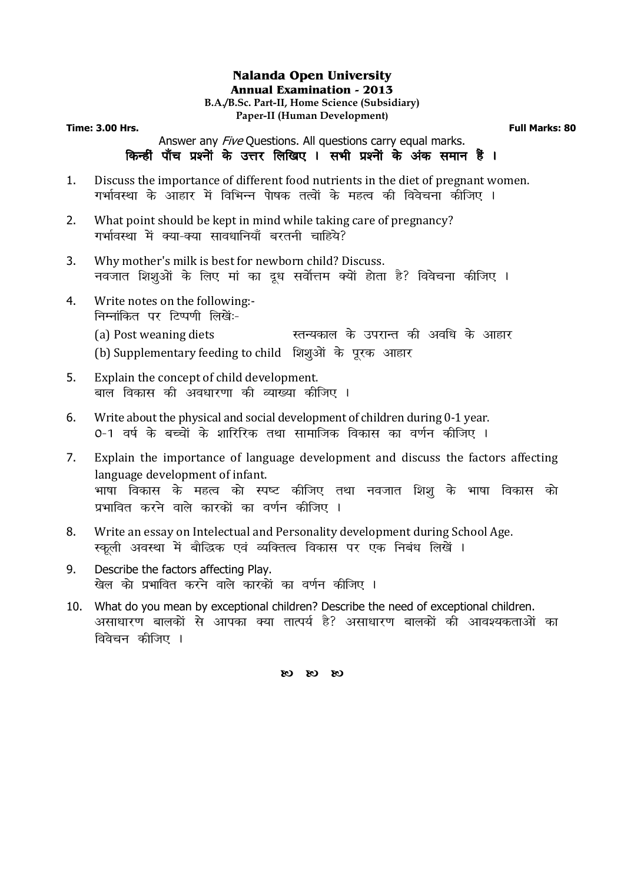#### **Nalanda Open University Annual Examination - 2013 B.A./B.Sc. Part-II, Home Science (Subsidiary) Paper-II (Human Development)**

**Time: 3.00 Hrs. Full Marks: 80**

Answer any *Five* Questions. All questions carry equal marks. किन्हीं पाँच प्रश्नों के उत्तर लिखिए । सभी प्रश्नों के अंक समान हैं ।

- 1. Discuss the importance of different food nutrients in the diet of pregnant women. -<br>गर्भावस्था के आहार में विभिन्न पेाषक तत्वों के महत्व की विवेचना कीजिए ।
- 2. What point should be kept in mind while taking care of pregnancy? गर्भावस्था में क्या-क्या सावधानियाँ बरतनी चाहिये?
- 3. Why mother's milk is best for newborn child? Discuss. नवजात शिशुओं के लिए मां का दूध सर्वोत्तम क्यों होता है? विवेचना कीजिए ।
- 4. Write notes on the following:- निम्नांकित पर टिप्पणी लिखें:-(a) Post weaning diets Letter and the represent design day of a set of a set of a (b) Supplementary feeding to child शिशुओं के पुरक आहार
- 5. Explain the concept of child development. बाल विकास की अवधारणा की व्याख्या कीजिए ।
- 6. Write about the physical and social development of children during 0-1 year. 0-1 वर्ष के बच्चों के शारिरिक तथा सामाजिक विकास का वर्णन कीजिए ।
- 7. Explain the importance of language development and discuss the factors affecting language development of infant. भाषा विकास के महत्व को स्पष्ट कीजिए तथा नवजात शिश के भाषा विकास को प्रभावित करने वाले कारकों का वर्णन कीजिए ।
- 8. Write an essay on Intelectual and Personality development during School Age. स्कली अवस्था में बौद्धिक एवं व्यक्तित्व विकास पर एक निबंध लिखें ।
- 9. Describe the factors affecting Play. खेल को प्रभावित करने वाले कारकों का वर्णन कीजिए ।
- 10. What do you mean by exceptional children? Describe the need of exceptional children. असाधारण बालकों से आपका क्या तात्पर्य है? असाधारण बालकों की आवश्यकताओं का विवेचन कीजिए ।

 $\alpha$   $\alpha$   $\alpha$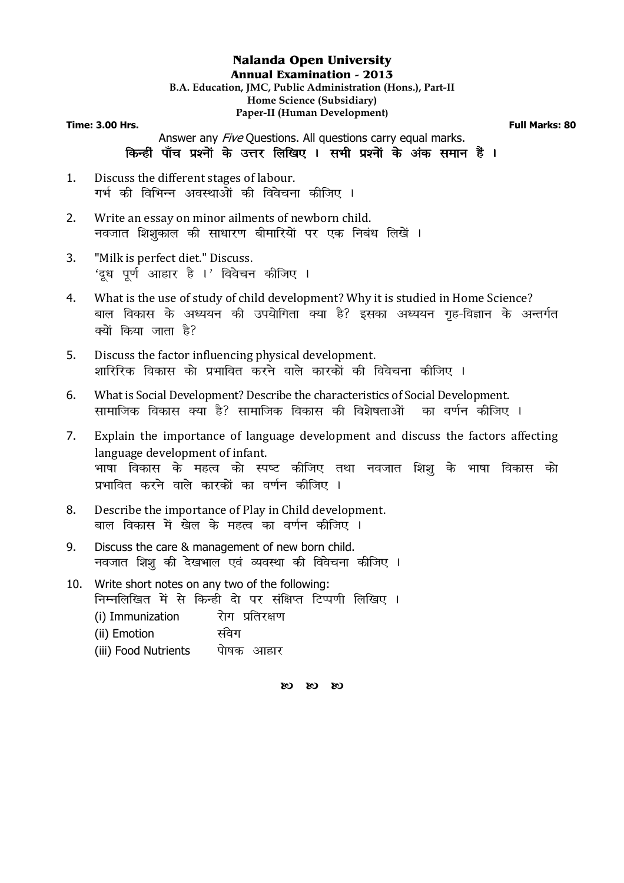#### **Nalanda Open University Annual Examination - 2013 B.A. Education, JMC, Public Administration (Hons.), Part-II Home Science (Subsidiary) Paper-II (Human Development) Time: 3.00 Hrs.** Full Marks: 80

Answer any *Five* Questions. All questions carry equal marks. किन्हीं पाँच प्रश्नों के उत्तर लिखिए । सभी प्रश्नों के अंक समान हैं ।

- 1. Discuss the different stages of labour. गर्भ की विभिन्न अवस्थाओं की विवेचना कीजिए ।
- 2. Write an essay on minor ailments of newborn child. नवजात शिशुकाल की साधारण बीमारियों पर एक निबंध लिखें ।
- 3. "Milk is perfect diet." Discuss. 'दध पर्ण आहार है ।' विवेचन कीजिए ।
- 4. What is the use of study of child development? Why it is studied in Home Science? बाल विकास के अध्ययन की उपयोगिता क्या है? इसका अध्ययन गृह-विज्ञान के अन्तर्गत क्यों किया जाता है?
- 5. Discuss the factor influencing physical development. शारिरिक विकास को प्रभावित करने वाले कारकों की विवेचना कीजिए ।
- 6. What is Social Development? Describe the characteristics of Social Development. सामाजिक विकास क्या है? सामाजिक विकास की विशेषताओं का वर्णन कीजिए ।
- 7. Explain the importance of language development and discuss the factors affecting language development of infant. भाषा विकास के महत्व को स्पष्ट कीजिए तथा नवजात शिशु के भाषा विकास को प्रभावित करने वाले कारकों का वर्णन कीजिए ।
- 8. Describe the importance of Play in Child development. बाल विकास में खेल के महत्व का वर्णन कीजिए ।
- 9. Discuss the care & management of new born child. नवजात शिशू की देखभाल एवं व्यवस्था की विवेचना कीजिए ।
- 10. Write short notes on any two of the following: निम्नलिखित में से किन्ही दो पर संक्षिप्त टिप्पणी लिखिए ।  $(i)$  Immunization  $\overline{R}$ रोग प्रतिरक्षण (ii) Emotion संवेग (iii) Food Nutrients वोषक आहार

 $\alpha$   $\alpha$   $\alpha$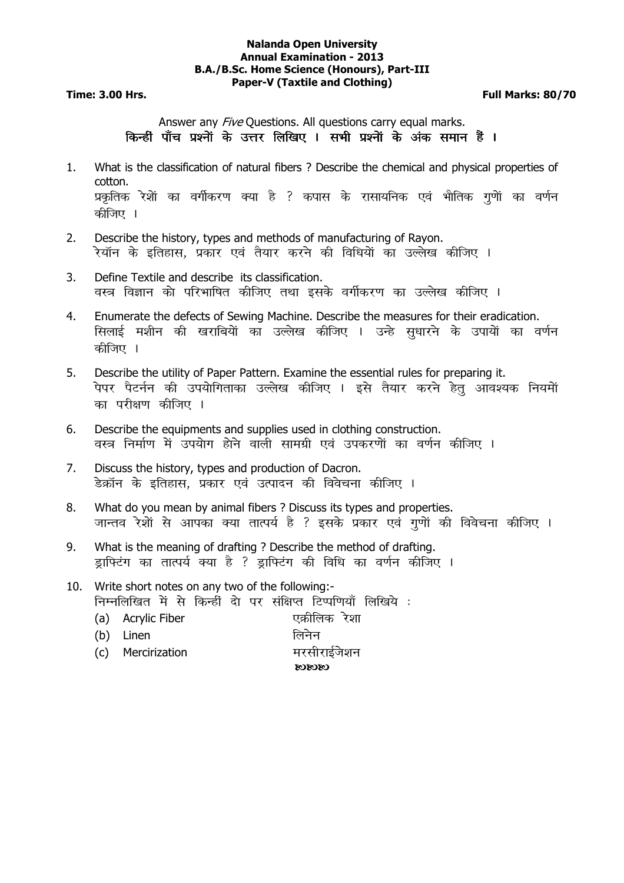#### **Nalanda Open University Annual Examination - 2013 B.A./B.Sc. Home Science (Honours), Part-III Paper-V (Taxtile and Clothing)**

**Time: 3.00 Hrs. Full Marks: 80/70** 

Answer any *Five* Questions. All questions carry equal marks. किन्हीं पाँच प्रश्नों के उत्तर लिखिए । सभी प्रश्नों के अंक समान हैं ।

- 1. What is the classification of natural fibers ? Describe the chemical and physical properties of cotton. प्रकृतिक रेशेां का वर्गीकरण क्या है ? कपास के रासायनिक एवं भौतिक गुणेां का वर्णन कीजिए ।
- 2. Describe the history, types and methods of manufacturing of Rayon. रेयॉन के इतिहास, प्रकार एवं तैयार करने की विधियों का उल्लेख कीजिए ।
- 3. Define Textile and describe its classification. वस्त्र विज्ञान को परिभाषित कीजिए तथा इसके वर्गीकरण का उल्लेख कीजिए ।
- 4. Enumerate the defects of Sewing Machine. Describe the measures for their eradication. सिलाई मशीन की खराबियों का उल्लेख कीजिए । उन्हे सधारने के उपायों का वर्णन कीजिए ।
- 5. Describe the utility of Paper Pattern. Examine the essential rules for preparing it. पेपर पैटर्नन की उपयोगिताका उल्लेख कीजिए । इसे तैयार करने हेतु आवश्यक नियमों का परीक्षण कीजिए ।
- 6. Describe the equipments and supplies used in clothing construction. वस्त्र निर्माण में उपयोग होने वाली सामग्री एवं उपकरणों का वर्णन कीजिए ।
- 7. Discuss the history, types and production of Dacron. डेक्रॉन के इतिहास. प्रकार एवं उत्पादन की विवेचना कीजिए ।
- 8. What do you mean by animal fibers ? Discuss its types and properties. जान्तव रेशों से आपका क्या तात्पर्य है ? इसके प्रकार एवं गणों की विवेचना कीजिए ।
- 9. What is the meaning of drafting ? Describe the method of drafting. ड़ाफि्टंग का तात्पर्य क्या है ? ड़ाफि्टंग की विधि का वर्णन कीजिए ।
- 10. Write short notes on any two of the following:- निम्नलिखित में से किन्हीं दो पर संक्षिप्त टिप्पणियाँ लिखिये :
	- (a) Acrylic Fiber , एक्रीलिक रेशा
	- (b) Linen लिनेन
	- (c) Mercirization etc. सरसीराईजेशन
		- $\alpha$  $\alpha$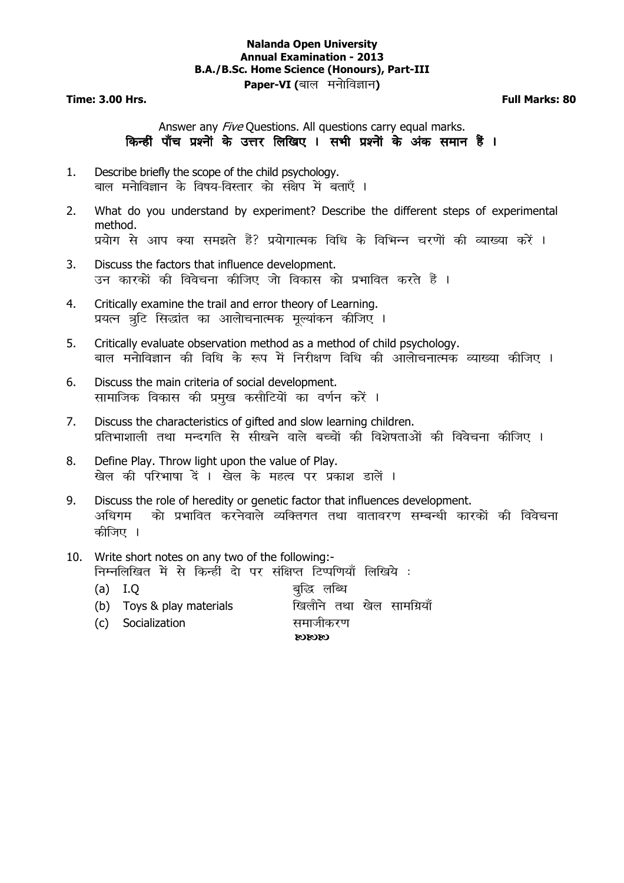#### **Nalanda Open University Annual Examination - 2013 B.A./B.Sc. Home Science (Honours), Part-III Paper-VI (**बाल मनोविज्ञान)

**Time: 3.00 Hrs. Full Marks: 80** 

## Answer any *Five* Questions. All questions carry equal marks. किन्हीं पाँच प्रश्नों के उत्तर लिखिए । सभी प्रश्नों के अंक समान हैं ।

- 1. Describe briefly the scope of the child psychology. बाल मनेाविज्ञान के विषय-विस्तार को संक्षेप में बताएँ ।
- 2. What do you understand by experiment? Describe the different steps of experimental method. प्रयोग से आप क्या समझते हैं? प्रयोगात्मक विधि के विभिन्न चरणों की व्याख्या करें ।
- 3. Discuss the factors that influence development. उन कारकों की विवेचना कीजिए जो विकास को प्रभावित करते हैं ।
- 4. Critically examine the trail and error theory of Learning. प्रयत्न त्रूटि सिद्धांत का आलोचनात्मक मूल्यांकन कीजिए ।
- 5. Critically evaluate observation method as a method of child psychology. बाल मनोविज्ञान की विधि के रूप में निरीक्षण विधि की आलोचनात्मक व्याख्या कीजिए ।
- 6. Discuss the main criteria of social development. सामाजिक विकास की प्रमख कसौटियों का वर्णन करें ।
- 7. Discuss the characteristics of gifted and slow learning children. प्रतिभाशाली तथा मन्दगति से सीखने वाले बच्चों की विशेषताओं की विवेचना कीजिए ।
- 8. Define Play. Throw light upon the value of Play. खेल की परिभाषा दें । खेल के महत्व पर प्रकाश डालें ।
- 9. Discuss the role of heredity or genetic factor that influences development. अधिगम को प्रभावित करनेवाले व्यक्तिगत तथा वातावरण सम्बन्धी कारकों की विवेचना कीजिए ।
- 10. Write short notes on any two of the following:- निम्नलिखित में से किन्हीं दो पर संक्षिप्त टिप्पणियाँ लिखिये :
	- (a) I.Q cqfigs क्षत्र चुद्धि लब्धि
	- (b) Toys & play materials **Fake and Trake and Trake and Trake**
	- (c) Socialization and setting of the control of the setting of the setting of the setting of the set

 $C<sub>3</sub>C<sub>3</sub>C<sub>3</sub>$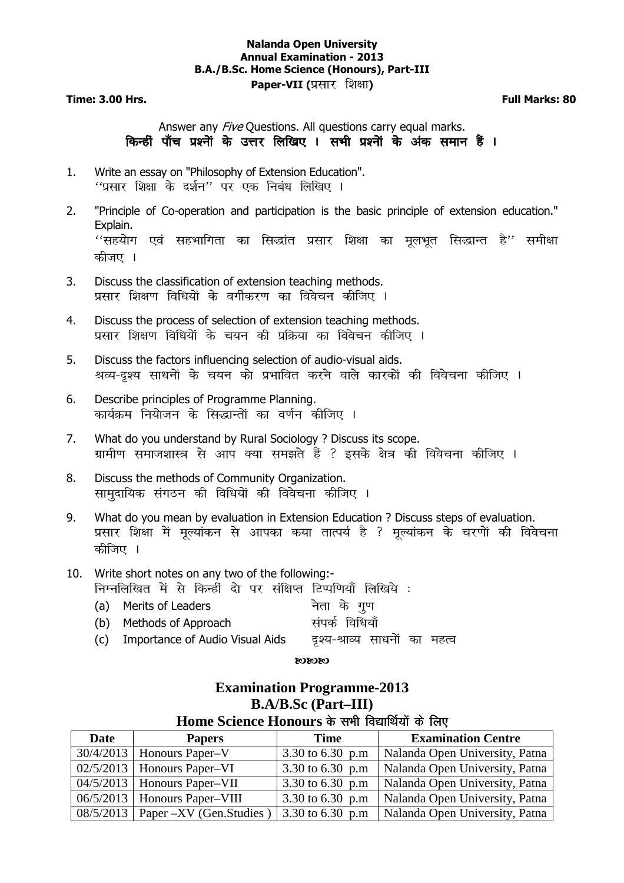#### **Nalanda Open University Annual Examination - 2013 B.A./B.Sc. Home Science (Honours), Part-III Paper-VII (**प्रसार शिक्षा)

**Time: 3.00 Hrs. Full Marks: 80** 

## Answer any *Five* Questions. All questions carry equal marks. किन्हीं पाँच प्रश्नों के उत्तर लिखिए । सभी प्रश्नों के अंक समान हैं ।

- 1. Write an essay on "Philosophy of Extension Education".  $^{\prime\prime}$ प्रसार शिक्षा के दर्शन'' पर एक निबंध लिखिए ।
- 2. "Principle of Co-operation and participation is the basic principle of extension education." Explain.  $\lq\lq$ सहयोग एवं सहभागिता का सिद्धांत प्रसार शिक्षा का मूलभूत सिद्धान्त है $^{\prime\prime}$  समीक्षा कीजए ।
- 3. Discuss the classification of extension teaching methods. प्रसार शिक्षण विधियों के वर्गीकरण का विवेचन कीजिए ।
- 4. Discuss the process of selection of extension teaching methods. प्रसार शिक्षण विधियों के चयन की प्रक्रिया का विवेचन कीजिए ।
- 5. Discuss the factors influencing selection of audio-visual aids. श्रव्य-दृश्य साधनों के चयन को प्रभावित करने वाले कारकों की विवेचना कीजिए ।
- 6. Describe principles of Programme Planning. कार्यक्रम नियोजन के सिद्धान्तों का वर्णन कीजिए ।
- 7. What do you understand by Rural Sociology ? Discuss its scope. ग्रामीण समाजशास्त्र से आप क्या समझते हैं ? इसके क्षेत्र की विवेचना कीजिए ।
- 8. Discuss the methods of Community Organization. सामुदायिक संगठन की विधियों की विवेचना कीजिए ।
- 9. What do you mean by evaluation in Extension Education ? Discuss steps of evaluation. प्रसार शिक्षा में मूल्यांकन से आपका कया तात्पर्य है ? मूल्यांकन के चरणों की विवेचना कीजिए ।
- 10. Write short notes on any two of the following:- निम्नलिखित में से किन्हीं दो पर संक्षिप्त टिप्पणियाँ लिखिये :
	- (a) Merits of Leaders के नेता के गण (b) Methods of Approach laid Z fof/k;k¡
	- (c) Importance of Audio Visual Aids वृश्य-श्राव्य साधनों का महत्व

#### $\alpha$  $\alpha$

**Examination Programme-2013** 

## **B.A/B.Sc (Part–III)**  Home Science Honours के सभी विद्यार्थियों के लिए **Date** Papers Time Examination Centre 30/4/2013 Honours Paper–V 3.30 to 6.30 p.m Nalanda Open University, F  $3.30$  to 6.30 p.m | Nalanda Open University, Patna 02/5/2013 | Honours Paper–VI 3.30 to 6.30 p.m | Nalanda Open University, Patna  $04/5/2013$  Honours Paper–VII 3.30 to 6.30 p.m Nalanda Open University, Patna 06/5/2013 | Honours Paper–VIII 3.30 to 6.30 p.m | Nalanda Open University, Patna 08/5/2013 | Paper –XV (Gen. Studies ) | 3.30 to 6.30 p.m | Nalanda Open University, Patna